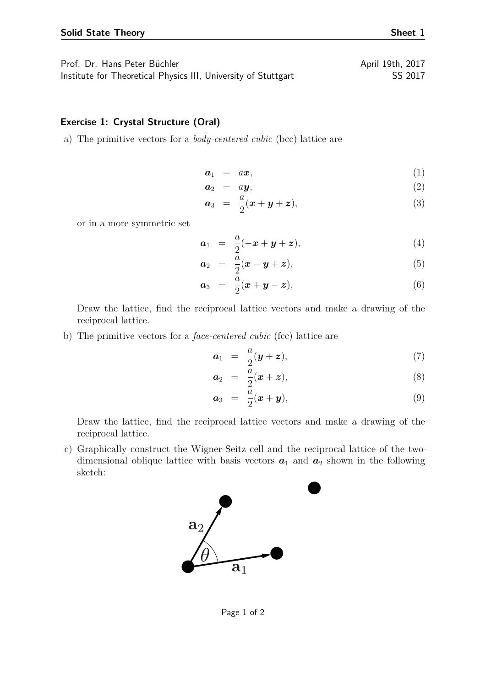| Prof. Dr. Hans Peter Büchler                                   | April 19th, 2017 |
|----------------------------------------------------------------|------------------|
| Institute for Theoretical Physics III, University of Stuttgart | SS 2017          |

## **Exercise 1: Crystal Structure (Oral)**

a) The primitive vectors for a *body-centered cubic* (bcc) lattice are

$$
a_1 = ax,\tag{1}
$$

$$
a_2 = ay,\t\t(2)
$$

$$
a_3 = \frac{a}{2}(x+y+z), \qquad (3)
$$

or in a more symmetric set

$$
a_1 = \frac{a}{2}(-x + y + z), \tag{4}
$$

$$
\boldsymbol{a}_2 = \frac{\bar{a}}{2}(\boldsymbol{x} - \boldsymbol{y} + \boldsymbol{z}), \tag{5}
$$

$$
a_3 = \frac{a}{2}(x+y-z), \qquad (6)
$$

Draw the lattice, find the reciprocal lattice vectors and make a drawing of the reciprocal lattice.

b) The primitive vectors for a *face-centered cubic* (fcc) lattice are

$$
a_1 = \frac{a}{2}(\mathbf{y} + \mathbf{z}), \tag{7}
$$

$$
a_2 = \frac{\bar{a}}{2}(x+z), \tag{8}
$$

$$
\boldsymbol{a}_3 = \frac{\bar{a}}{2}(\boldsymbol{x} + \boldsymbol{y}), \tag{9}
$$

Draw the lattice, find the reciprocal lattice vectors and make a drawing of the reciprocal lattice.

c) Graphically construct the Wigner-Seitz cell and the reciprocal lattice of the twodimensional oblique lattice with basis vectors  $a_1$  and  $a_2$  shown in the following sketch:



$$
f_{\rm{max}}
$$

Page 1 of 2